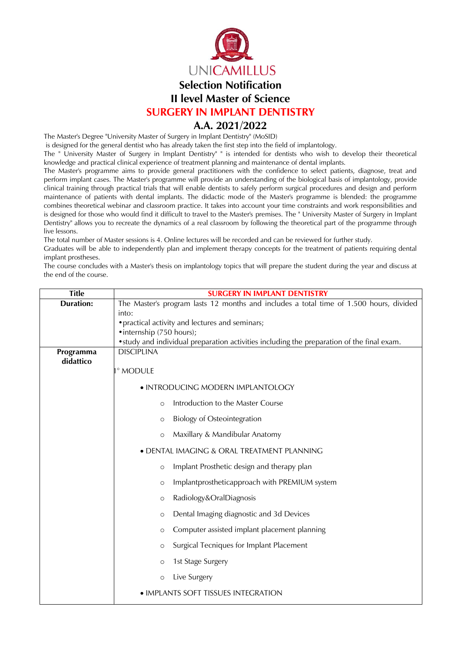

**SURGERY IN IMPLANT DENTISTRY**

## **A.A. 2021/2022**

The Master's Degree "University Master of Surgery in Implant Dentistry" (MoSID)

is designed for the general dentist who has already taken the first step into the field of implantology.

The " University Master of Surgery in Implant Dentistry" " is intended for dentists who wish to develop their theoretical knowledge and practical clinical experience of treatment planning and maintenance of dental implants.

The Master's programme aims to provide general practitioners with the confidence to select patients, diagnose, treat and perform implant cases. The Master's programme will provide an understanding of the biological basis of implantology, provide clinical training through practical trials that will enable dentists to safely perform surgical procedures and design and perform maintenance of patients with dental implants. The didactic mode of the Master's programme is blended: the programme combines theoretical webinar and classroom practice. It takes into account your time constraints and work responsibilities and is designed for those who would find it difficult to travel to the Master's premises. The " University Master of Surgery in Implant Dentistry" allows you to recreate the dynamics of a real classroom by following the theoretical part of the programme through live lessons.

The total number of Master sessions is 4. Online lectures will be recorded and can be reviewed for further study.

Graduates will be able to independently plan and implement therapy concepts for the treatment of patients requiring dental implant prostheses.

The course concludes with a Master's thesis on implantology topics that will prepare the student during the year and discuss at the end of the course.

| <b>Title</b>     | <b>SURGERY IN IMPLANT DENTISTRY</b>                                                        |  |  |
|------------------|--------------------------------------------------------------------------------------------|--|--|
| <b>Duration:</b> | The Master's program lasts 12 months and includes a total time of 1.500 hours, divided     |  |  |
|                  | into:                                                                                      |  |  |
|                  | • practical activity and lectures and seminars;<br>• internship (750 hours);               |  |  |
|                  | • study and individual preparation activities including the preparation of the final exam. |  |  |
| Programma        | <b>DISCIPLINA</b>                                                                          |  |  |
| didattico        |                                                                                            |  |  |
|                  | ° MODULE                                                                                   |  |  |
|                  | • INTRODUCING MODERN IMPLANTOLOGY                                                          |  |  |
|                  | Introduction to the Master Course<br>$\circ$                                               |  |  |
|                  | <b>Biology of Osteointegration</b><br>$\circ$                                              |  |  |
|                  | Maxillary & Mandibular Anatomy<br>$\circ$                                                  |  |  |
|                  | · DENTAL IMAGING & ORAL TREATMENT PLANNING                                                 |  |  |
|                  | Implant Prosthetic design and therapy plan<br>$\circ$                                      |  |  |
|                  | Implantprostheticapproach with PREMIUM system<br>$\circ$                                   |  |  |
|                  | Radiology&OralDiagnosis<br>$\circ$                                                         |  |  |
|                  | Dental Imaging diagnostic and 3d Devices<br>$\circ$                                        |  |  |
|                  | Computer assisted implant placement planning<br>$\circ$                                    |  |  |
|                  | Surgical Tecniques for Implant Placement<br>$\circ$                                        |  |  |
|                  | 1st Stage Surgery<br>$\circ$                                                               |  |  |
|                  | Live Surgery<br>$\circ$                                                                    |  |  |
|                  | · IMPLANTS SOFT TISSUES INTEGRATION                                                        |  |  |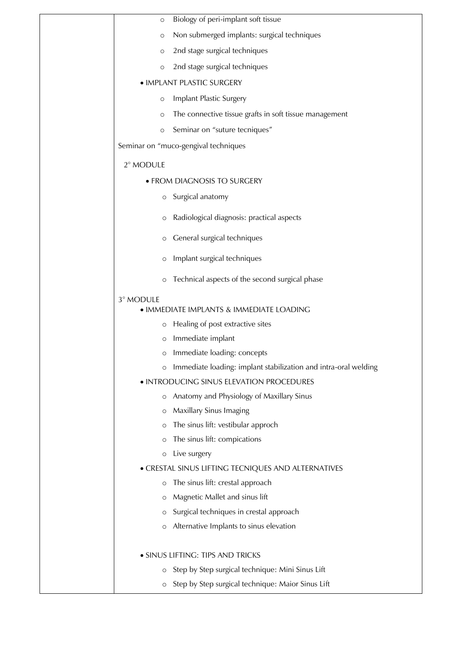| $\circ$      | Biology of peri-implant soft tissue                             |
|--------------|-----------------------------------------------------------------|
| $\circ$      | Non submerged implants: surgical techniques                     |
| $\circ$      | 2nd stage surgical techniques                                   |
| $\circ$      | 2nd stage surgical techniques                                   |
|              | · IMPLANT PLASTIC SURGERY                                       |
| $\circ$      | Implant Plastic Surgery                                         |
| $\circ$      | The connective tissue grafts in soft tissue management          |
| $\circ$      | Seminar on "suture tecniques"                                   |
|              | Seminar on "muco-gengival techniques                            |
| 2° MODULE    |                                                                 |
|              | • FROM DIAGNOSIS TO SURGERY                                     |
| $\circ$      | Surgical anatomy                                                |
| O            | Radiological diagnosis: practical aspects                       |
| $\circ$      | General surgical techniques                                     |
| $\circ$      | Implant surgical techniques                                     |
| $\circ$      | Technical aspects of the second surgical phase                  |
| 3° MODULE    |                                                                 |
|              | • IMMEDIATE IMPLANTS & IMMEDIATE LOADING                        |
| O            | Healing of post extractive sites<br>Immediate implant           |
| O<br>$\circ$ | Immediate loading: concepts                                     |
| $\circ$      | Immediate loading: implant stabilization and intra-oral welding |
|              | · INTRODUCING SINUS ELEVATION PROCEDURES                        |
| $\circ$      | Anatomy and Physiology of Maxillary Sinus                       |
| O            | Maxillary Sinus Imaging                                         |
| $\circ$      | The sinus lift: vestibular approch                              |
| $\circ$      | The sinus lift: compications                                    |
| $\circ$      | Live surgery                                                    |
|              | • CRESTAL SINUS LIFTING TECNIQUES AND ALTERNATIVES              |
| $\circ$      | The sinus lift: crestal approach                                |
| $\circ$      | Magnetic Mallet and sinus lift                                  |
| O            | Surgical techniques in crestal approach                         |
| $\circ$      | Alternative Implants to sinus elevation                         |
|              |                                                                 |
|              | · SINUS LIFTING: TIPS AND TRICKS                                |
| O            | Step by Step surgical technique: Mini Sinus Lift                |
| $\circ$      | Step by Step surgical technique: Maior Sinus Lift               |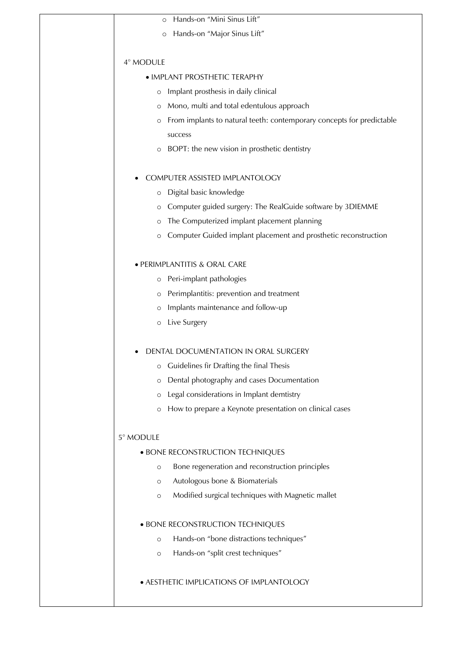| Hands-on "Mini Sinus Lift"<br>$\circ$                                            |
|----------------------------------------------------------------------------------|
| Hands-on "Major Sinus Lift"<br>$\circ$                                           |
|                                                                                  |
| 4° MODULE                                                                        |
| • IMPLANT PROSTHETIC TERAPHY                                                     |
| Implant prosthesis in daily clinical<br>$\circ$                                  |
| Mono, multi and total edentulous approach<br>$\circ$                             |
| From implants to natural teeth: contemporary concepts for predictable<br>$\circ$ |
| success                                                                          |
| BOPT: the new vision in prosthetic dentistry<br>$\circ$                          |
| COMPUTER ASSISTED IMPLANTOLOGY                                                   |
| Digital basic knowledge                                                          |
| $\circ$<br>Computer guided surgery: The RealGuide software by 3DIEMME            |
| $\circ$<br>The Computerized implant placement planning                           |
| $\circ$                                                                          |
| Computer Guided implant placement and prosthetic reconstruction<br>$\circ$       |
| · PERIMPLANTITIS & ORAL CARE                                                     |
| o Peri-implant pathologies                                                       |
| Perimplantitis: prevention and treatment<br>$\circ$                              |
| Implants maintenance and follow-up<br>$\circ$                                    |
| Live Surgery<br>$\circ$                                                          |
|                                                                                  |
| DENTAL DOCUMENTATION IN ORAL SURGERY                                             |
| Guidelines fir Drafting the final Thesis<br>$\circ$                              |
| Dental photography and cases Documentation<br>$\circ$                            |
| Legal considerations in Implant demtistry<br>$\circ$                             |
| How to prepare a Keynote presentation on clinical cases<br>$\circ$               |
| 5° MODULE                                                                        |
| · BONE RECONSTRUCTION TECHNIQUES                                                 |
| Bone regeneration and reconstruction principles<br>$\circ$                       |
| Autologous bone & Biomaterials<br>$\circ$                                        |
| Modified surgical techniques with Magnetic mallet<br>$\circ$                     |
|                                                                                  |
| · BONE RECONSTRUCTION TECHNIQUES                                                 |
| Hands-on "bone distractions techniques"<br>$\circ$                               |
| Hands-on "split crest techniques"<br>$\circ$                                     |
| · AESTHETIC IMPLICATIONS OF IMPLANTOLOGY                                         |
|                                                                                  |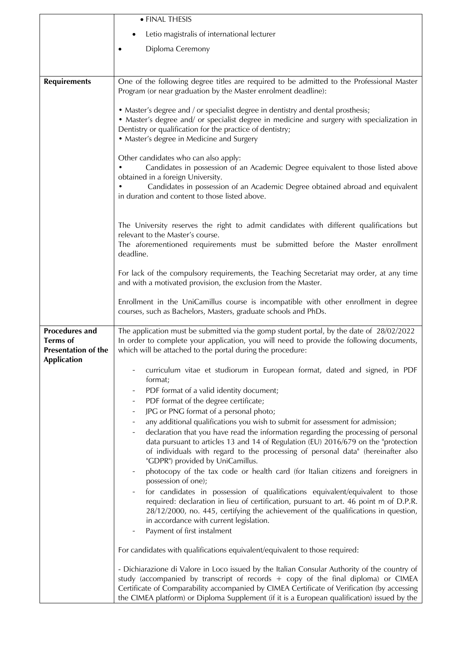|                                               | • FINAL THESIS                                                                                                                                                                                                                                                                           |
|-----------------------------------------------|------------------------------------------------------------------------------------------------------------------------------------------------------------------------------------------------------------------------------------------------------------------------------------------|
|                                               | Letio magistralis of international lecturer                                                                                                                                                                                                                                              |
|                                               | Diploma Ceremony                                                                                                                                                                                                                                                                         |
|                                               |                                                                                                                                                                                                                                                                                          |
|                                               |                                                                                                                                                                                                                                                                                          |
| <b>Requirements</b>                           | One of the following degree titles are required to be admitted to the Professional Master<br>Program (or near graduation by the Master enrolment deadline):                                                                                                                              |
|                                               |                                                                                                                                                                                                                                                                                          |
|                                               | • Master's degree and / or specialist degree in dentistry and dental prosthesis;<br>• Master's degree and/ or specialist degree in medicine and surgery with specialization in<br>Dentistry or qualification for the practice of dentistry;<br>• Master's degree in Medicine and Surgery |
|                                               | Other candidates who can also apply:                                                                                                                                                                                                                                                     |
|                                               | Candidates in possession of an Academic Degree equivalent to those listed above                                                                                                                                                                                                          |
|                                               | obtained in a foreign University.<br>Candidates in possession of an Academic Degree obtained abroad and equivalent                                                                                                                                                                       |
|                                               | in duration and content to those listed above.                                                                                                                                                                                                                                           |
|                                               |                                                                                                                                                                                                                                                                                          |
|                                               | The University reserves the right to admit candidates with different qualifications but                                                                                                                                                                                                  |
|                                               | relevant to the Master's course.                                                                                                                                                                                                                                                         |
|                                               | The aforementioned requirements must be submitted before the Master enrollment<br>deadline.                                                                                                                                                                                              |
|                                               |                                                                                                                                                                                                                                                                                          |
|                                               | For lack of the compulsory requirements, the Teaching Secretariat may order, at any time<br>and with a motivated provision, the exclusion from the Master.                                                                                                                               |
|                                               | Enrollment in the UniCamillus course is incompatible with other enrollment in degree                                                                                                                                                                                                     |
|                                               | courses, such as Bachelors, Masters, graduate schools and PhDs.                                                                                                                                                                                                                          |
| <b>Procedures and</b>                         | The application must be submitted via the gomp student portal, by the date of 28/02/2022                                                                                                                                                                                                 |
| <b>Terms</b> of<br><b>Presentation of the</b> | In order to complete your application, you will need to provide the following documents,<br>which will be attached to the portal during the procedure:                                                                                                                                   |
| Application                                   | curriculum vitae et studiorum in European format, dated and signed, in PDF                                                                                                                                                                                                               |
|                                               | format;                                                                                                                                                                                                                                                                                  |
|                                               | PDF format of a valid identity document;<br>-                                                                                                                                                                                                                                            |
|                                               | PDF format of the degree certificate;<br>-<br>JPG or PNG format of a personal photo;                                                                                                                                                                                                     |
|                                               | any additional qualifications you wish to submit for assessment for admission;                                                                                                                                                                                                           |
|                                               | declaration that you have read the information regarding the processing of personal                                                                                                                                                                                                      |
|                                               | data pursuant to articles 13 and 14 of Regulation (EU) 2016/679 on the "protection<br>of individuals with regard to the processing of personal data" (hereinafter also                                                                                                                   |
|                                               | "GDPR") provided by UniCamillus.                                                                                                                                                                                                                                                         |
|                                               | photocopy of the tax code or health card (for Italian citizens and foreigners in                                                                                                                                                                                                         |
|                                               | possession of one);                                                                                                                                                                                                                                                                      |
|                                               | for candidates in possession of qualifications equivalent/equivalent to those<br>required: declaration in lieu of certification, pursuant to art. 46 point m of D.P.R.                                                                                                                   |
|                                               | 28/12/2000, no. 445, certifying the achievement of the qualifications in question,                                                                                                                                                                                                       |
|                                               | in accordance with current legislation.                                                                                                                                                                                                                                                  |
|                                               | Payment of first instalment                                                                                                                                                                                                                                                              |
|                                               | For candidates with qualifications equivalent/equivalent to those required:                                                                                                                                                                                                              |
|                                               | - Dichiarazione di Valore in Loco issued by the Italian Consular Authority of the country of                                                                                                                                                                                             |
|                                               | study (accompanied by transcript of records + copy of the final diploma) or CIMEA<br>Certificate of Comparability accompanied by CIMEA Certificate of Verification (by accessing                                                                                                         |
|                                               | the CIMEA platform) or Diploma Supplement (if it is a European qualification) issued by the $\vert$                                                                                                                                                                                      |